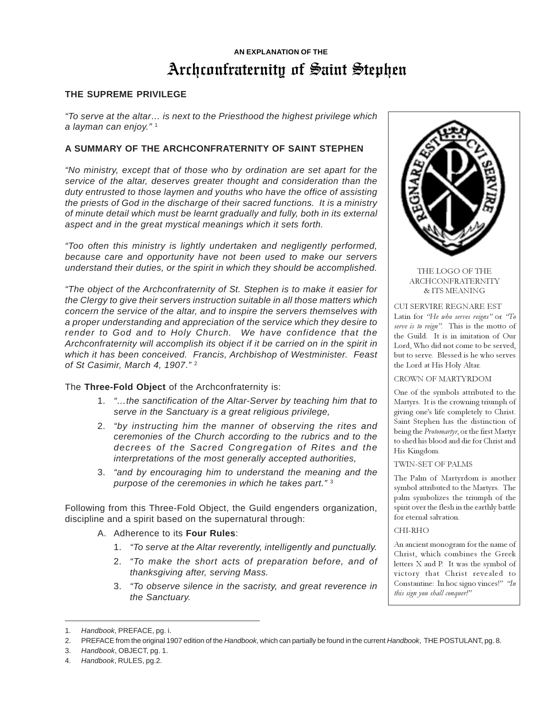# Archconfraternity of Saint Stephen **AN EXPLANATION OF THE**

# **THE SUPREME PRIVILEGE**

"To serve at the altar… is next to the Priesthood the highest privilege which a layman can enjoy."<sup>1</sup>

# **A SUMMARY OF THE ARCHCONFRATERNITY OF SAINT STEPHEN**

"No ministry, except that of those who by ordination are set apart for the service of the altar, deserves greater thought and consideration than the duty entrusted to those laymen and youths who have the office of assisting the priests of God in the discharge of their sacred functions. It is a ministry of minute detail which must be learnt gradually and fully, both in its external aspect and in the great mystical meanings which it sets forth.

"Too often this ministry is lightly undertaken and negligently performed, because care and opportunity have not been used to make our servers understand their duties, or the spirit in which they should be accomplished.

"The object of the Archconfraternity of St. Stephen is to make it easier for the Clergy to give their servers instruction suitable in all those matters which concern the service of the altar, and to inspire the servers themselves with a proper understanding and appreciation of the service which they desire to render to God and to Holy Church. We have confidence that the Archconfraternity will accomplish its object if it be carried on in the spirit in which it has been conceived. Francis, Archbishop of Westminister. Feast of St Casimir, March 4, 1907."<sup>2</sup>

The **Three-Fold Object** of the Archconfraternity is:

- 1. "…the sanctification of the Altar-Server by teaching him that to serve in the Sanctuary is a great religious privilege,
- 2. "by instructing him the manner of observing the rites and ceremonies of the Church according to the rubrics and to the decrees of the Sacred Congregation of Rites and the interpretations of the most generally accepted authorities,
- 3. "and by encouraging him to understand the meaning and the purpose of the ceremonies in which he takes part." <sup>3</sup>

Following from this Three-Fold Object, the Guild engenders organization, discipline and a spirit based on the supernatural through:

- A. Adherence to its **Four Rules**:
	- 1. "To serve at the Altar reverently, intelligently and punctually.
	- 2. "To make the short acts of preparation before, and of thanksgiving after, serving Mass.
	- 3. "To observe silence in the sacristy, and great reverence in the Sanctuary.



#### THE LOGO OF THE ARCHCONFRATERNITY & ITS MEANING

CUI SERVIRE REGNARE EST Latin for "He who serves reigns" or "To serve is to reign". This is the motto of the Guild. It is in imitation of Our Lord, Who did not come to be served, but to serve. Blessed is he who serves the Lord at His Holy Altar.

CROWN OF MARTYRDOM

One of the symbols attributed to the Martyrs. It is the crowning triumph of giving one's life completely to Christ. Saint Stephen has the distinction of being the Protomartyr, or the first Martyr to shed his blood and die for Christ and His Kingdom.

TWIN-SET OF PALMS

The Palm of Martyrdom is another symbol attributed to the Martyrs. The palm symbolizes the triumph of the spirit over the flesh in the earthly battle for eternal salvation.

#### CHI-RHO

An ancient monogram for the name of Christ, which combines the Greek letters X and P. It was the symbol of victory that Christ revealed to Constantine: In hoc signo vinces!" "In this sign you shall conquer!"

<sup>1.</sup> Handbook, PREFACE, pg. i.

<sup>2.</sup> PREFACE from the original 1907 edition of the Handbook, which can partially be found in the current Handbook, THE POSTULANT, pg. 8.

<sup>3.</sup> Handbook, OBJECT, pg. 1.

<sup>4.</sup> Handbook, RULES, pg.2.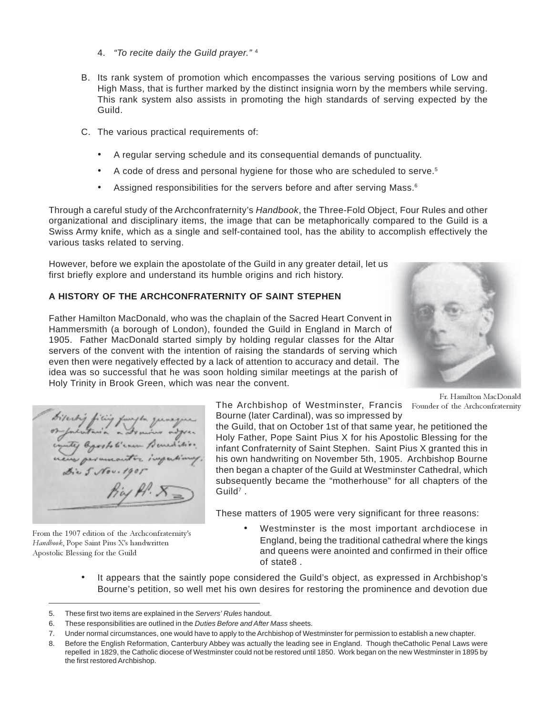- 4. "To recite daily the Guild prayer." <sup>4</sup>
- B. Its rank system of promotion which encompasses the various serving positions of Low and High Mass, that is further marked by the distinct insignia worn by the members while serving. This rank system also assists in promoting the high standards of serving expected by the Guild.
- C. The various practical requirements of:
	- A regular serving schedule and its consequential demands of punctuality.
	- A code of dress and personal hygiene for those who are scheduled to serve.<sup>5</sup>
	- Assigned responsibilities for the servers before and after serving Mass.<sup>6</sup>

Through a careful study of the Archconfraternity's Handbook, the Three-Fold Object, Four Rules and other organizational and disciplinary items, the image that can be metaphorically compared to the Guild is a Swiss Army knife, which as a single and self-contained tool, has the ability to accomplish effectively the various tasks related to serving.

However, before we explain the apostolate of the Guild in any greater detail, let us first briefly explore and understand its humble origins and rich history.

# **A HISTORY OF THE ARCHCONFRATERNITY OF SAINT STEPHEN**

Father Hamilton MacDonald, who was the chaplain of the Sacred Heart Convent in Hammersmith (a borough of London), founded the Guild in England in March of 1905. Father MacDonald started simply by holding regular classes for the Altar servers of the convent with the intention of raising the standards of serving which even then were negatively effected by a lack of attention to accuracy and detail. The idea was so successful that he was soon holding similar meetings at the parish of Holy Trinity in Brook Green, which was near the convent.

From the 1907 edition of the Archconfraternity's Handbook, Pope Saint Pius X's handwritten Apostolic Blessing for the Guild

The Archbishop of Westminster, Francis Founder of the Archconfraternity Bourne (later Cardinal), was so impressed by

the Guild, that on October 1st of that same year, he petitioned the Holy Father, Pope Saint Pius X for his Apostolic Blessing for the infant Confraternity of Saint Stephen. Saint Pius X granted this in his own handwriting on November 5th, 1905. Archbishop Bourne then began a chapter of the Guild at Westminster Cathedral, which subsequently became the "motherhouse" for all chapters of the  $G$ uild $7$ .

These matters of 1905 were very significant for three reasons:

- Westminster is the most important archdiocese in England, being the traditional cathedral where the kings and queens were anointed and confirmed in their office of state8 .
- It appears that the saintly pope considered the Guild's object, as expressed in Archbishop's Bourne's petition, so well met his own desires for restoring the prominence and devotion due



Fr. Hamilton MacDonald

<sup>5.</sup> These first two items are explained in the Servers' Rules handout.

<sup>6.</sup> These responsibilities are outlined in the Duties Before and After Mass sheets.

<sup>7.</sup> Under normal circumstances, one would have to apply to the Archbishop of Westminster for permission to establish a new chapter.

<sup>8.</sup> Before the English Reformation, Canterbury Abbey was actually the leading see in England. Though theCatholic Penal Laws were repelled in 1829, the Catholic diocese of Westminster could not be restored until 1850. Work began on the new Westminster in 1895 by the first restored Archbishop.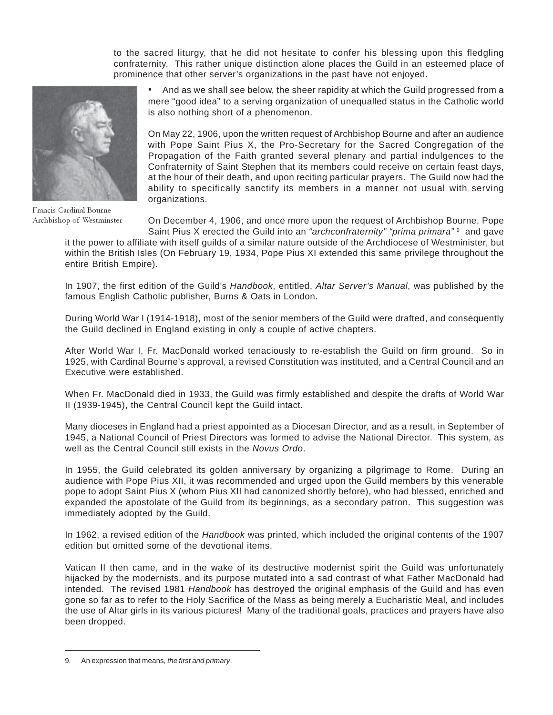to the sacred liturgy, that he did not hesitate to confer his blessing upon this fledgling confraternity. This rather unique distinction alone places the Guild in an esteemed place of prominence that other server's organizations in the past have not enjoyed.



Francis Cardinal Bourne Archbishop of Westminster

• And as we shall see below, the sheer rapidity at which the Guild progressed from a mere "good idea" to a serving organization of unequalled status in the Catholic world is also nothing short of a phenomenon.

On May 22, 1906, upon the written request of Archbishop Bourne and after an audience with Pope Saint Pius X, the Pro-Secretary for the Sacred Congregation of the Propagation of the Faith granted several plenary and partial indulgences to the Confraternity of Saint Stephen that its members could receive on certain feast days, at the hour of their death, and upon reciting particular prayers. The Guild now had the ability to specifically sanctify its members in a manner not usual with serving organizations.

On December 4, 1906, and once more upon the request of Archbishop Bourne, Pope Saint Pius X erected the Guild into an "archconfraternity" "prima primara" 9 and gave

it the power to affiliate with itself guilds of a similar nature outside of the Archdiocese of Westminister, but within the British Isles (On February 19, 1934, Pope Pius XI extended this same privilege throughout the entire British Empire).

In 1907, the first edition of the Guild's Handbook, entitled, Altar Server's Manual, was published by the famous English Catholic publisher, Burns & Oats in London.

During World War I (1914-1918), most of the senior members of the Guild were drafted, and consequently the Guild declined in England existing in only a couple of active chapters.

After World War I, Fr. MacDonald worked tenaciously to re-establish the Guild on firm ground. So in 1925, with Cardinal Bourne's approval, a revised Constitution was instituted, and a Central Council and an Executive were established.

When Fr. MacDonald died in 1933, the Guild was firmly established and despite the drafts of World War II (1939-1945), the Central Council kept the Guild intact.

Many dioceses in England had a priest appointed as a Diocesan Director, and as a result, in September of 1945, a National Council of Priest Directors was formed to advise the National Director. This system, as well as the Central Council still exists in the Novus Ordo.

In 1955, the Guild celebrated its golden anniversary by organizing a pilgrimage to Rome. During an audience with Pope Pius XII, it was recommended and urged upon the Guild members by this venerable pope to adopt Saint Pius X (whom Pius XII had canonized shortly before), who had blessed, enriched and expanded the apostolate of the Guild from its beginnings, as a secondary patron. This suggestion was immediately adopted by the Guild.

In 1962, a revised edition of the Handbook was printed, which included the original contents of the 1907 edition but omitted some of the devotional items.

Vatican II then came, and in the wake of its destructive modernist spirit the Guild was unfortunately hijacked by the modernists, and its purpose mutated into a sad contrast of what Father MacDonald had intended. The revised 1981 Handbook has destroyed the original emphasis of the Guild and has even gone so far as to refer to the Holy Sacrifice of the Mass as being merely a Eucharistic Meal, and includes the use of Altar girls in its various pictures! Many of the traditional goals, practices and prayers have also been dropped.

<sup>9.</sup> An expression that means, the first and primary.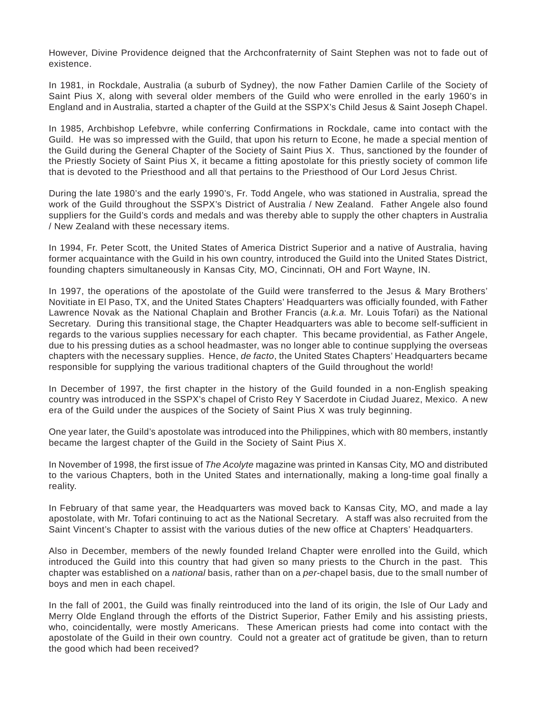However, Divine Providence deigned that the Archconfraternity of Saint Stephen was not to fade out of existence.

In 1981, in Rockdale, Australia (a suburb of Sydney), the now Father Damien Carlile of the Society of Saint Pius X, along with several older members of the Guild who were enrolled in the early 1960's in England and in Australia, started a chapter of the Guild at the SSPX's Child Jesus & Saint Joseph Chapel.

In 1985, Archbishop Lefebvre, while conferring Confirmations in Rockdale, came into contact with the Guild. He was so impressed with the Guild, that upon his return to Econe, he made a special mention of the Guild during the General Chapter of the Society of Saint Pius X. Thus, sanctioned by the founder of the Priestly Society of Saint Pius X, it became a fitting apostolate for this priestly society of common life that is devoted to the Priesthood and all that pertains to the Priesthood of Our Lord Jesus Christ.

During the late 1980's and the early 1990's, Fr. Todd Angele, who was stationed in Australia, spread the work of the Guild throughout the SSPX's District of Australia / New Zealand. Father Angele also found suppliers for the Guild's cords and medals and was thereby able to supply the other chapters in Australia / New Zealand with these necessary items.

In 1994, Fr. Peter Scott, the United States of America District Superior and a native of Australia, having former acquaintance with the Guild in his own country, introduced the Guild into the United States District, founding chapters simultaneously in Kansas City, MO, Cincinnati, OH and Fort Wayne, IN.

In 1997, the operations of the apostolate of the Guild were transferred to the Jesus & Mary Brothers' Novitiate in El Paso, TX, and the United States Chapters' Headquarters was officially founded, with Father Lawrence Novak as the National Chaplain and Brother Francis (a.k.a. Mr. Louis Tofari) as the National Secretary. During this transitional stage, the Chapter Headquarters was able to become self-sufficient in regards to the various supplies necessary for each chapter. This became providential, as Father Angele, due to his pressing duties as a school headmaster, was no longer able to continue supplying the overseas chapters with the necessary supplies. Hence, de facto, the United States Chapters' Headquarters became responsible for supplying the various traditional chapters of the Guild throughout the world!

In December of 1997, the first chapter in the history of the Guild founded in a non-English speaking country was introduced in the SSPX's chapel of Cristo Rey Y Sacerdote in Ciudad Juarez, Mexico. A new era of the Guild under the auspices of the Society of Saint Pius X was truly beginning.

One year later, the Guild's apostolate was introduced into the Philippines, which with 80 members, instantly became the largest chapter of the Guild in the Society of Saint Pius X.

In November of 1998, the first issue of The Acolyte magazine was printed in Kansas City, MO and distributed to the various Chapters, both in the United States and internationally, making a long-time goal finally a reality.

In February of that same year, the Headquarters was moved back to Kansas City, MO, and made a lay apostolate, with Mr. Tofari continuing to act as the National Secretary. A staff was also recruited from the Saint Vincent's Chapter to assist with the various duties of the new office at Chapters' Headquarters.

Also in December, members of the newly founded Ireland Chapter were enrolled into the Guild, which introduced the Guild into this country that had given so many priests to the Church in the past. This chapter was established on a *national* basis, rather than on a *per*-chapel basis, due to the small number of boys and men in each chapel.

In the fall of 2001, the Guild was finally reintroduced into the land of its origin, the Isle of Our Lady and Merry Olde England through the efforts of the District Superior, Father Emily and his assisting priests, who, coincidentally, were mostly Americans. These American priests had come into contact with the apostolate of the Guild in their own country. Could not a greater act of gratitude be given, than to return the good which had been received?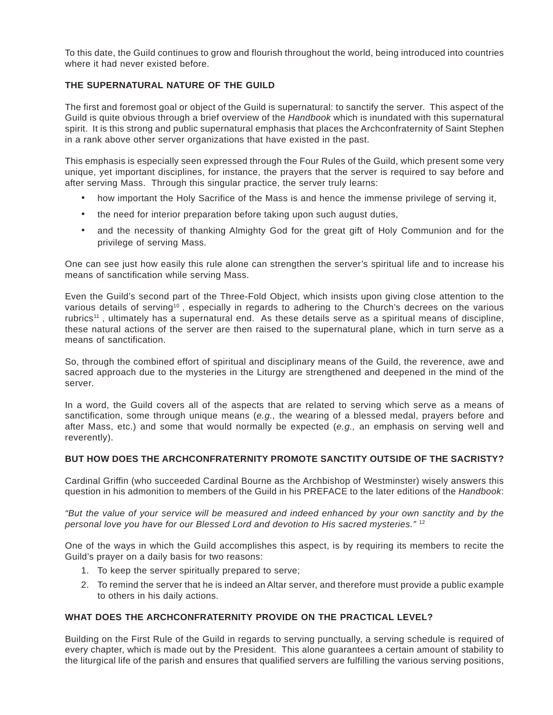To this date, the Guild continues to grow and flourish throughout the world, being introduced into countries where it had never existed before.

#### **THE SUPERNATURAL NATURE OF THE GUILD**

The first and foremost goal or object of the Guild is supernatural: to sanctify the server. This aspect of the Guild is quite obvious through a brief overview of the Handbook which is inundated with this supernatural spirit. It is this strong and public supernatural emphasis that places the Archconfraternity of Saint Stephen in a rank above other server organizations that have existed in the past.

This emphasis is especially seen expressed through the Four Rules of the Guild, which present some very unique, yet important disciplines, for instance, the prayers that the server is required to say before and after serving Mass. Through this singular practice, the server truly learns:

- how important the Holy Sacrifice of the Mass is and hence the immense privilege of serving it,
- the need for interior preparation before taking upon such august duties,
- and the necessity of thanking Almighty God for the great gift of Holy Communion and for the privilege of serving Mass.

One can see just how easily this rule alone can strengthen the server's spiritual life and to increase his means of sanctification while serving Mass.

Even the Guild's second part of the Three-Fold Object, which insists upon giving close attention to the various details of serving<sup>10</sup>, especially in regards to adhering to the Church's decrees on the various rubrics<sup>11</sup>, ultimately has a supernatural end. As these details serve as a spiritual means of discipline, these natural actions of the server are then raised to the supernatural plane, which in turn serve as a means of sanctification.

So, through the combined effort of spiritual and disciplinary means of the Guild, the reverence, awe and sacred approach due to the mysteries in the Liturgy are strengthened and deepened in the mind of the server.

In a word, the Guild covers all of the aspects that are related to serving which serve as a means of sanctification, some through unique means (e.g., the wearing of a blessed medal, prayers before and after Mass, etc.) and some that would normally be expected (e.g., an emphasis on serving well and reverently).

#### **BUT HOW DOES THE ARCHCONFRATERNITY PROMOTE SANCTITY OUTSIDE OF THE SACRISTY?**

Cardinal Griffin (who succeeded Cardinal Bourne as the Archbishop of Westminster) wisely answers this question in his admonition to members of the Guild in his PREFACE to the later editions of the Handbook:

"But the value of your service will be measured and indeed enhanced by your own sanctity and by the personal love you have for our Blessed Lord and devotion to His sacred mysteries." <sup>12</sup>

One of the ways in which the Guild accomplishes this aspect, is by requiring its members to recite the Guild's prayer on a daily basis for two reasons:

- 1. To keep the server spiritually prepared to serve;
- 2. To remind the server that he is indeed an Altar server, and therefore must provide a public example to others in his daily actions.

#### **WHAT DOES THE ARCHCONFRATERNITY PROVIDE ON THE PRACTICAL LEVEL?**

Building on the First Rule of the Guild in regards to serving punctually, a serving schedule is required of every chapter, which is made out by the President. This alone guarantees a certain amount of stability to the liturgical life of the parish and ensures that qualified servers are fulfilling the various serving positions,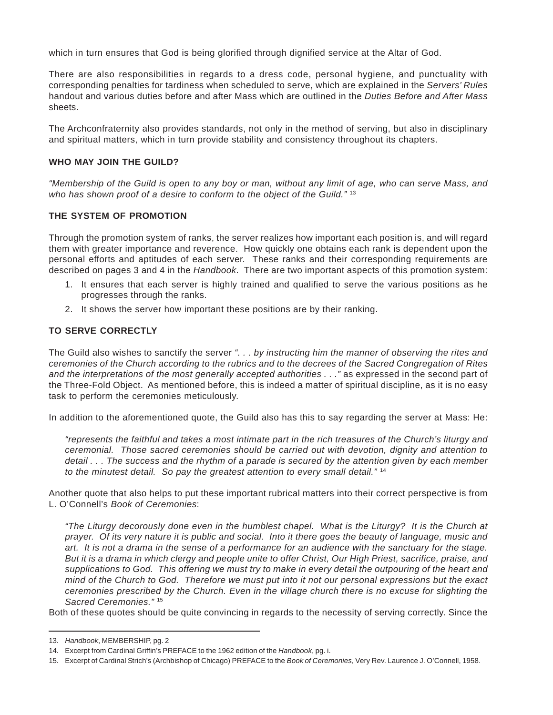which in turn ensures that God is being glorified through dignified service at the Altar of God.

There are also responsibilities in regards to a dress code, personal hygiene, and punctuality with corresponding penalties for tardiness when scheduled to serve, which are explained in the Servers' Rules handout and various duties before and after Mass which are outlined in the Duties Before and After Mass sheets.

The Archconfraternity also provides standards, not only in the method of serving, but also in disciplinary and spiritual matters, which in turn provide stability and consistency throughout its chapters.

#### **WHO MAY JOIN THE GUILD?**

"Membership of the Guild is open to any boy or man, without any limit of age, who can serve Mass, and who has shown proof of a desire to conform to the object of the Guild." $13$ 

#### **THE SYSTEM OF PROMOTION**

Through the promotion system of ranks, the server realizes how important each position is, and will regard them with greater importance and reverence. How quickly one obtains each rank is dependent upon the personal efforts and aptitudes of each server. These ranks and their corresponding requirements are described on pages 3 and 4 in the Handbook. There are two important aspects of this promotion system:

- 1. It ensures that each server is highly trained and qualified to serve the various positions as he progresses through the ranks.
- 2. It shows the server how important these positions are by their ranking.

### **TO SERVE CORRECTLY**

The Guild also wishes to sanctify the server ". . . by instructing him the manner of observing the rites and ceremonies of the Church according to the rubrics and to the decrees of the Sacred Congregation of Rites and the interpretations of the most generally accepted authorities . . ." as expressed in the second part of the Three-Fold Object. As mentioned before, this is indeed a matter of spiritual discipline, as it is no easy task to perform the ceremonies meticulously.

In addition to the aforementioned quote, the Guild also has this to say regarding the server at Mass: He:

"represents the faithful and takes a most intimate part in the rich treasures of the Church's liturgy and ceremonial. Those sacred ceremonies should be carried out with devotion, dignity and attention to detail . . . The success and the rhythm of a parade is secured by the attention given by each member to the minutest detail. So pay the greatest attention to every small detail."<sup>14</sup>

Another quote that also helps to put these important rubrical matters into their correct perspective is from L. O'Connell's Book of Ceremonies:

"The Liturgy decorously done even in the humblest chapel. What is the Liturgy? It is the Church at prayer. Of its very nature it is public and social. Into it there goes the beauty of language, music and art. It is not a drama in the sense of a performance for an audience with the sanctuary for the stage. But it is a drama in which clergy and people unite to offer Christ, Our High Priest, sacrifice, praise, and supplications to God. This offering we must try to make in every detail the outpouring of the heart and mind of the Church to God. Therefore we must put into it not our personal expressions but the exact ceremonies prescribed by the Church. Even in the village church there is no excuse for slighting the Sacred Ceremonies."<sup>15</sup>

Both of these quotes should be quite convincing in regards to the necessity of serving correctly. Since the

<sup>13.</sup> Handbook, MEMBERSHIP, pg. 2

<sup>14.</sup> Excerpt from Cardinal Griffin's PREFACE to the 1962 edition of the Handbook, pg. i.

<sup>15.</sup> Excerpt of Cardinal Strich's (Archbishop of Chicago) PREFACE to the Book of Ceremonies, Very Rev. Laurence J. O'Connell, 1958.